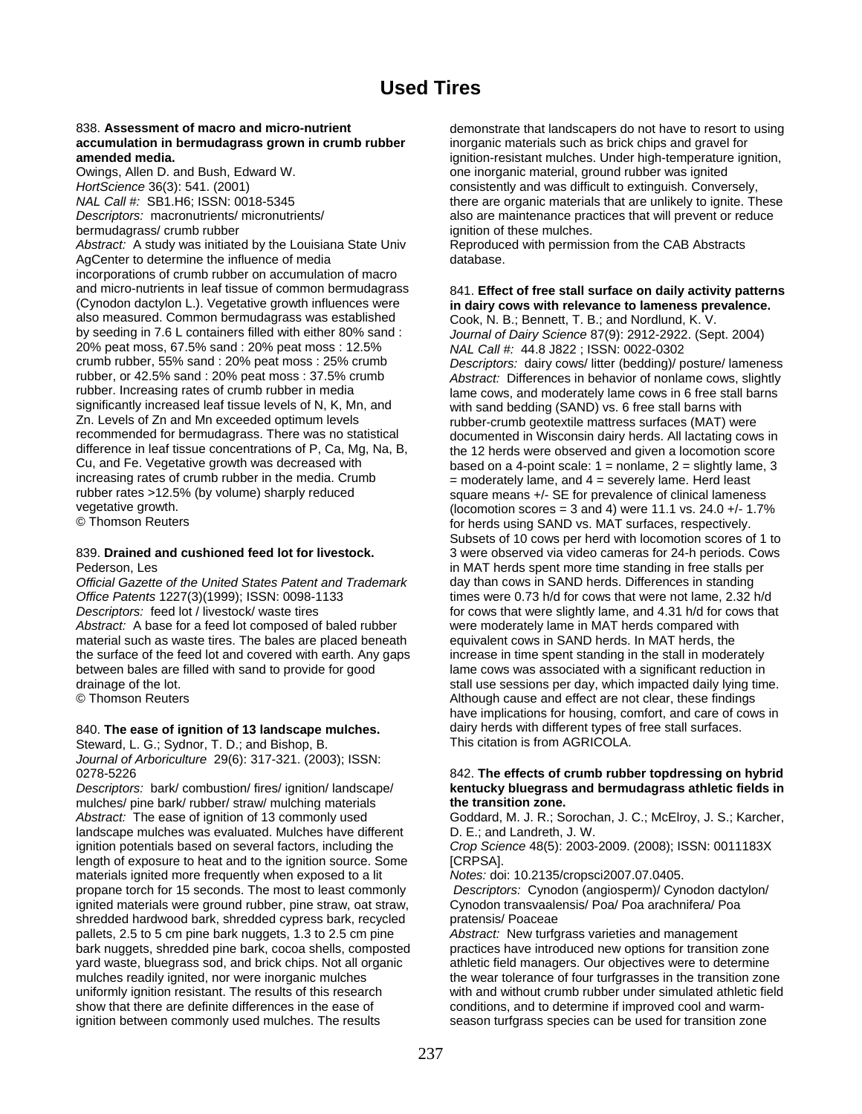## **Used Tires**

# **accumulation in bermudagrass grown in crumb rubber** inorganic materials such as brick chips and gravel for

Owings, Allen D. and Bush, Edward W. **Canadian Bush, and Bush, Edward W.** one inorganic material, ground rubber was ignited *HortScience* 36(3): 541. (2001) consistently and was difficult to extinguish. Conversely, Descriptors: macronutrients/ micronutrients/ also are maintenance practices that will prevent or reduce<br>bermudagrass/ crumb rubber<br>bermudagrass/ crumb rubber bermudagrass/ crumb rubber Abstract: A study was initiated by the Louisiana State Univ Reproduced with permission from the CAB Abstracts AgCenter to determine the influence of media example of the database. incorporations of crumb rubber on accumulation of macro (Cynodon dactylon L.). Vegetative growth influences were **in dairy cows with relevance to lameness prevalence. also measured. Common bermudagrass was established** Cook, N. B.; Bennett, T. B.; and Nordlund, K. V. also measured. Common bermudagrass was established by seeding in 7.6 L containers filled with either 80% sand : *Journal of Dairy Science* 87(9): 2912-2922. (Sept. 2004) 20% peat moss, 67.5% sand : 20% peat moss : 12.5% *NAL Call #:* 44.8 J822 ; ISSN: 0022-0302 rubber. Increasing rates of crumb rubber in media lame cows, and moderately lame cows in 6 free stall barns re<br>significantly increased leaf tissue levels of N. K. Mn. and with sand bedding (SAND) vs. 6 free stall barns wit significantly increased leaf tissue levels of N, K, Mn, and with sand bedding (SAND) vs. 6 free stall barns with<br>Zn. Levels of Zn and Mn exceeded optimum levels readed by the resumb geotextile mattress surfaces (MAT) we Zn. Levels of Zn and Mn exceeded optimum levels rubber-crumb geotextile mattress surfaces (MAT) were<br>The commended for bermudagrass. There was no statistical redictionented in Wisconsin dairy herds. All lactating cow recommended for bermudagrass. There was no statistical documented in Wisconsin dairy herds. All lactating cows in difference in leaf tissue concentrations of P, Ca, Mg, Na, B, the 12 herds were observed and given a locomot difference in leaf tissue concentrations of P, Ca, Mg, Na, B, the 12 herds were observed and given a locomotion score<br>Cu, and Fe. Vegetative growth was decreased with based on a 4-point scale: 1 = nonlame. 2 = slightly lam Cu, and Fe. Vegetative growth was decreased with based on a 4-point scale: 1 = nonlame, 2 = slightly lame, 3 increasing rates of crumb rubber in the media. Crumb  $=$  moderately lame, and 4 = severely lame. Herd least increasing rates of crumb rubber in the media. Crumb = moderately lame, and 4 = severely lame. Herd least<br>rubber rates >12.5% (by volume) sharply reduced square means +/- SE for prevalence of clinical lamene rubber rates >12.5% (by volume) sharply reduced square means  $+/-$  SE for prevalence of clinical lameness<br>Vegetative growth. (locomotion scores = 3 and 4) were 11.1 vs. 24.0  $+/-$  1.7%

*Official Gazette of the United States Patent and Trademark* day than cows in SAND herds. Differences in standing Office Patents 1227(3)(1999); ISSN: 0098-1133 times were 0.73 h/d for cows that were not lame, 2.32 h/d *Descriptors:* feed lot / livestock/ waste tires for cows that were slightly lame, and 4.31 h/d for cows that *Abstract:* A base for a feed lot composed of baled rubber were moderately lame in MAT herds compared with material such as waste tires. The bales are placed beneath equivalent cows in SAND herds. In MAT herds, the the surface of the feed lot and covered with earth. Any gaps increase in time spent standing in the stall in moderately between bales are filled with sand to provide for good lame cows was associated with a significant reduction in drainage of the lot.  $\blacksquare$  stall use sessions per day, which impacted daily lying time.

Steward, L. G.; Sydnor, T. D.; and Bishop, B. *Journal of Arboriculture* 29(6): 317-321. (2003); ISSN:

mulches/ pine bark/ rubber/ straw/ mulching materials **the transition zone.**  Abstract: The ease of ignition of 13 commonly used Goddard, M. J. R.; Sorochan, J. C.; McElroy, J. S.; Karcher, landscape mulches was evaluated. Mulches have different D. E.; and Landreth, J. W. ignition potentials based on several factors, including the *Crop Science* 48(5): 2003-2009. (2008); ISSN: 0011183X length of exposure to heat and to the ignition source. Some [CRPSA]. materials ignited more frequently when exposed to a lit *Notes:* doi: 10.2135/cropsci2007.07.0405. propane torch for 15 seconds. The most to least commonly *Descriptors:* Cynodon (angiosperm)/ Cynodon dactylon/ ignited materials were ground rubber, pine straw, oat straw, Cynodon transvaalensis/ Poa/ Poa arachnifera/ Poa shredded hardwood bark, shredded cypress bark, recycled pratensis/ Poaceae pallets, 2.5 to 5 cm pine bark nuggets, 1.3 to 2.5 cm pine *Abstract:* New turfgrass varieties and management bark nuggets, shredded pine bark, cocoa shells, composted practices have introduced new options for transition zone yard waste, bluegrass sod, and brick chips. Not all organic athletic field managers. Our objectives were to determine mulches readily ignited, nor were inorganic mulches the wear tolerance of four turfgrasses in the transition zone<br>uniformly ignition resistant. The results of this research with and without crumb rubber under simulated ath show that there are definite differences in the ease of conditions, and to determine if improved cool and warmignition between commonly used mulches. The results season turfgrass species can be used for transition zone

838. **Assessment of macro and micro-nutrient** demonstrate that landscapers do not have to resort to using **amended media. ignition-resistant mulches. Under high-temperature ignition,** there are organic materials that are unlikely to ignite. These

# 841. Effect of free stall surface on daily activity patterns

crumb rubber, 55% sand : 20% peat moss : 25% crumb *Descriptors:* dairy cows/ litter (bedding)/ posture/ lameness rubber, or 42.5% sand : 20% peat moss : 37.5% crumb *Abstract:* Differences in behavior of nonlame cows, slightly vegetative growth.<br>  $\odot$  Thomson Reuters  $\odot$  Thomson Reuters  $\odot$  Thomson Reuters  $\odot$  Thomson Reuters  $\odot$  Thomson Reuters  $\odot$  Thomson Reuters  $\odot$  Thomson Reuters  $\odot$  Thomson Reuters  $\odot$  Thomson Reuters  $\od$ for herds using SAND vs. MAT surfaces, respectively. Subsets of 10 cows per herd with locomotion scores of 1 to 839. **Drained and cushioned feed lot for livestock.** 3 were observed via video cameras for 24-h periods. Cows Pederson, Les in MAT herds spent more time standing in free stalls per © Thomson Reuters **Although cause and effect are not clear**, these findings have implications for housing, comfort, and care of cows in 840. **The ease of ignition of 13 landscape mulches.**  $\qquad \qquad$  dairy herds with different types of free stall surfaces.<br>Steward, L. G.: Sydnor, T. D.: and Bishop. B. **This citation** is from AGRICOLA.

### 0278-5226 842. **The effects of crumb rubber topdressing on hybrid kentucky bluegrass and bermudagrass athletic fields in**

with and without crumb rubber under simulated athletic field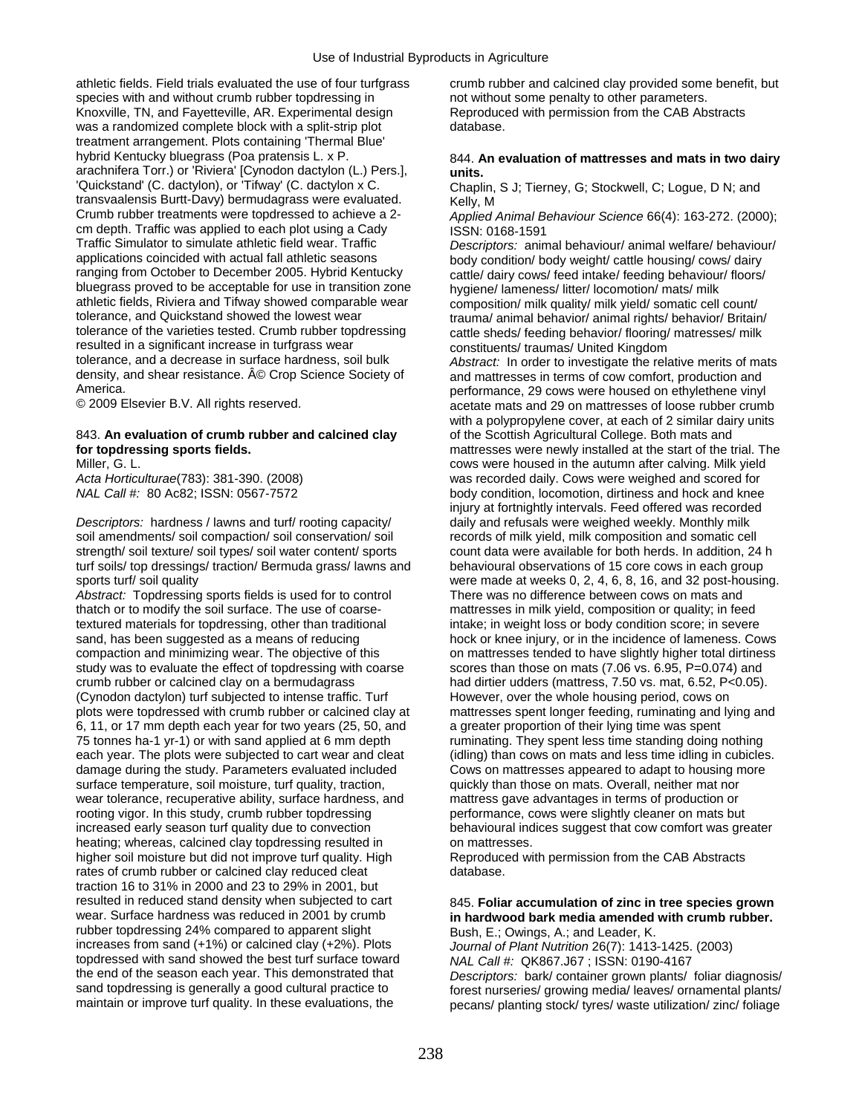athletic fields. Field trials evaluated the use of four turfgrass crumb rubber and calcined clay provided some benefit, but species with and without crumb rubber topdressing in not without some penalty to other parameters. Knoxville, TN, and Fayetteville, AR. Experimental design Reproduced with permission from the CAB Abstracts was a randomized complete block with a split-strip plot database. treatment arrangement. Plots containing 'Thermal Blue' hybrid Kentucky bluegrass (Poa pratensis L. x P. 844. **An evaluation of mattresses and mats in two dairy**  arachnifera Torr.) or 'Riviera' [Cynodon dactylon (L.) Pers.], **units.**  transvaalensis Burtt-Davy) bermudagrass were evaluated. Kelly, M<br>Crumb rubber treatments were topdressed to achieve a 2- Applied cm depth. Traffic was applied to each plot using a Cady<br>Traffic Simulator to simulate athletic field wear. Traffic *Descriptors:* anim Traffic Simulator to simulate athletic field wear. Traffic *Descriptors:* animal behaviour/ animal welfare/ behaviour/ ranging from October to December 2005. Hybrid Kentucky cattle/ dairy cows/ feed intake/ feeding behaviour/ floors/ bluegrass proved to be acceptable for use in transition zone hygiene/ lameness/ litter/ locomotion/ mats/ milk athletic fields, Riviera and Tifway showed comparable wear<br>tolerance, and Quickstand showed the lowest wear<br>trauma/ animal behavior/ animal rights/ behavior/ Rritain tolerance, and Quickstand showed the lowest wear to trauma/ animal behavior/ animal rights/ behavior/ Britain/<br>tolerance of the varieties tested. Crumb rubber topdressing cattle sheds/ feeding behavior/ flooring/ matresses resulted in a significant increase in turfgrass wear constituents/ traumas/ United Kingdom<br>tolerance, and a decrease in surface hardness, soil bulk *Abstract:* In order to investigate the relation tolerance, and a decrease in surface hardness, soil bulk *Abstract:* In order to investigate the relative merits of mats<br>density, and shear resistance. © Crop Science Society of and mattresses in terms of cow comfort, pro density, and shear resistance. A© Crop Science Society of and mattresses in terms of cow comfort, production and<br>Derformance, 29 cows were housed on ethylethene viny

## 843. An evaluation of crumb rubber and calcined clay

*Descriptors:* hardness / lawns and turf/ rooting capacity/ daily and refusals were weighed weekly. Monthly milk soil amendments/ soil compaction/ soil conservation/ soil records of milk yield, milk composition and somatic cell<br>strength/ soil texture/ soil types/ soil water content/ sports count data were available for both herds. In turf soils/ top dressings/ traction/ Bermuda grass/ lawns and sports turf/ soil quality

*Abstract:* Topdressing sports fields is used for to control There was no difference between cows on mats and thatch or to modify the soil surface. The use of coarse-<br>mattresses in milk yield, composition or quality; in fe textured materials for topdressing, other than traditional intake; in weight loss or body condition score; in severe sand, has been suggested as a means of reducing hock or knee injury, or in the incidence of lameness. Cows compaction and minimizing wear. The objective of this on mattresses tended to have slightly higher total dirtiness study was to evaluate the effect of topdressing with coarse scores than those on mats (7.06 vs. 6.95, P=0.074) and crumb rubber or calcined clay on a bermudagrass had dirtier udders (mattress, 7.50 vs. mat, 6.52, P<0.05). (Cynodon dactylon) turf subjected to intense traffic. Turf However, over the whole housing period, cows on plots were topdressed with crumb rubber or calcined clay at mattresses spent longer feeding, ruminating and lying and 6, 11, or 17 mm depth each year for two years (25, 50, and a greater proportion of their lying time was 6, 11, or 17 mm depth each year for two years (25, 50, and 75 tonnes ha-1 yr-1) or with sand applied at 6 mm depth ruminating. They spent less time standing doing nothing each year. The plots were subjected to cart wear and cleat (idling) than cows on mats and less time idling in cubicles. damage during the study. Parameters evaluated included Cows on mattresses appeared to adapt to housing more surface temperature, soil moisture, turf quality, traction, example unclear those on mats. Overall, neither mat nor wear tolerance, recuperative ability, surface hardness, and mattress gave advantages in terms of production or rooting vigor. In this study, crumb rubber topdressing performance, cows were slightly cleaner on mats but increased early season turf quality due to convection behavioural indices suggest that cow comfort was greater heating; whereas, calcined clay topdressing resulted in on mattresses. higher soil moisture but did not improve turf quality. High Reproduced with permission from the CAB Abstracts rates of crumb rubber or calcined clay reduced cleat database. traction 16 to 31% in 2000 and 23 to 29% in 2001, but resulted in reduced stand density when subjected to cart 845. **Foliar accumulation of zinc in tree species grown**  rubber topdressing 24% compared to apparent slight Bush, E.; Owings, A.; and Leader, K. increases from sand (+1%) or calcined clay (+2%). Plots *Journal of Plant Nutrition* 26(7): 1413-1425. (2003) topdressed with sand showed the best turf surface toward *NAL Call #:* QK867.J67 ; ISSN: 0190-4167<br>the end of the season each year. This demonstrated that *Descriptors:* bark/ container grown plants/ the end of the season each year. This demonstrated that *Descriptors:* bark/ container grown plants/ foliar diagnosis/<br>sand topdressing is generally a good cultural practice to forest nurseries/ growing media/ leaves/ orna sand topdressing is generally a good cultural practice to forest nurseries/ growing media/ leaves/ ornamental plants/<br>maintain or improve turf quality. In these evaluations, the pecans/ planting stock/ tyres/ waste utiliza

Chaplin, S J; Tierney, G; Stockwell, C; Logue, D N; and

Applied Animal Behaviour Science 66(4): 163-272. (2000);

body condition/ body weight/ cattle housing/ cows/ dairy cattle sheds/ feeding behavior/ flooring/ matresses/ milk America.<br>
© 2009 Elsevier B.V. All rights reserved.<br>
© 2009 Elsevier B.V. All rights reserved.<br>  $\alpha$  performance, 29 cows were housed on ethylethene vinyl acetate mats and 29 on mattresses of loose rubber crumb with a polypropylene cover, at each of 2 similar dairy units of the Scottish Agricultural College. Both mats and **for topdressing sports fields.** mattresses were newly installed at the start of the trial. The Miller, G. L. cows were housed in the autumn after calving. Milk yield *Acta Horticulturae*(783): 381-390. (2008) was recorded daily. Cows were weighed and scored for *NAL Call #:* 80 Ac82; ISSN: 0567-7572 body condition, locomotion, dirtiness and hock and knee injury at fortnightly intervals. Feed offered was recorded count data were available for both herds. In addition, 24 h<br>behavioural observations of 15 core cows in each group were made at weeks 0, 2, 4, 6, 8, 16, and 32 post-housing. mattresses in milk yield, composition or quality; in feed

# in hardwood bark media amended with crumb rubber.

pecans/ planting stock/ tyres/ waste utilization/ zinc/ foliage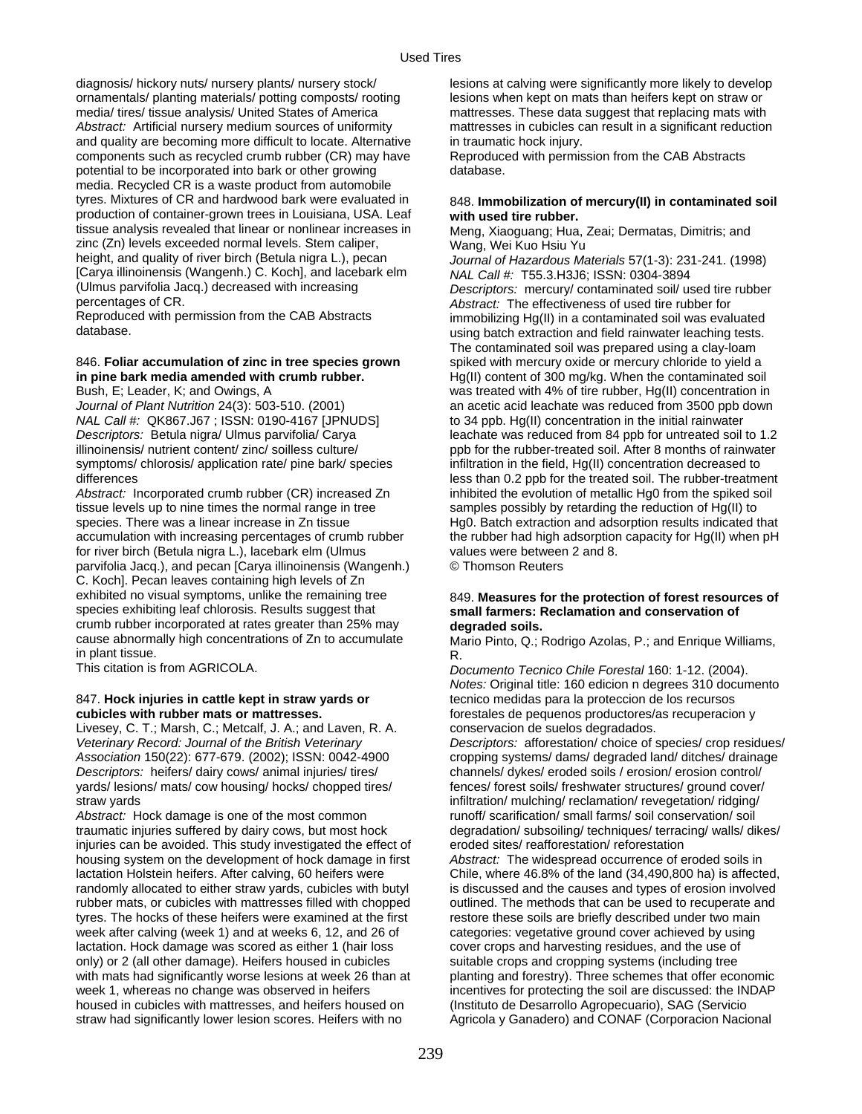### Used Tires

ornamentals/ planting materials/ potting composts/ rooting lesions when kept on mats than heifers kept on straw or media/ tires/ tissue analysis/ United States of America mattresses. These data suggest that replacing mats with *Abstract:* Artificial nursery medium sources of uniformity mattresses in cubicles can result in a significant reduction and quality are becoming more difficult to locate. Alternative in traumatic hock injury. components such as recycled crumb rubber (CR) may have Reproduced with permission from the CAB Abstracts potential to be incorporated into bark or other growing database. media. Recycled CR is a waste product from automobile tyres. Mixtures of CR and hardwood bark were evaluated in 848. **Immobilization of mercury(II) in contaminated soil**  production of container-grown trees in Louisiana, USA. Leaf **with used tire rubber.**  zinc (Zn) levels exceeded normal levels. Stem caliper, height, and quality of river birch (Betula nigra L.), pecan [Carya illinoinensis (Wangenh.) C. Koch], and lacebark elm *NAL Call #:* T55.3.H3J6; ISSN: 0304-3894 (Ulmus parvifolia Jacq.) decreased with increasing *Descriptors:* mercury/ contaminated soil/ used tire rubber

## **in pine bark media amended with crumb rubber.** Hg(II) content of 300 mg/kg. When the contaminated soil

*NAL Call #:* QK867.J67 : ISSN: 0190-4167 [JPNUDS] to 34 ppb. Hg(II) concentration in the initial rainwater symptoms/ chlorosis/ application rate/ pine bark/ species infiltration in the field, Hg(II) concentration decreased to

tissue levels up to nine times the normal range in tree samples possibly by retarding the reduction of Hg(II) to species. There was a linear increase in Zn tissue Hg0. Batch extraction and adsorption results indicated that accumulation with increasing percentages of crumb rubber the rubber had high adsorption capacity for Hg(II) when pH for river birch (Betula nigra L.), lacebark elm (Ulmus values were between 2 and 8.<br>
parvifolia Jacq.), and pecan [Carva illinoinensis (Wangenh.) © Thomson Reuters parvifolia Jacq.), and pecan [Carya illinoinensis (Wangenh.) C. Koch]. Pecan leaves containing high levels of Zn exhibited no visual symptoms, unlike the remaining tree 849. **Measures for the protection of forest resources of** species exhibiting leaf chlorosis. Results suggest that **small farmers: Reclamation and conservation of** crumb rubber incorporated at rates greater than 25% may **degraded soils.**<br>
cause abnormally high concentrations of Zn to accumulate Mario Pinto O: F in plant tissue.  $R$ .<br>This citation is from AGRICOLA.  $R$ .

Livesey, C. T.; Marsh, C.; Metcalf, J. A.; and Laven, R. A. conservacion de suelos degradados. *Veterinary Record: Journal of the British Veterinary Descriptors:* afforestation/ choice of species/ crop residues/ *Descriptors:* heifers/ dairy cows/ animal injuries/ tires/ channels/ dykes/ eroded soils / erosion/ erosion control/ yards/ lesions/ mats/ cow housing/ hocks/ chopped tires/ fences/ forest soils/ freshwater structures/ ground cover/ straw yards infiltration/ mulching/ reclamation/ revegetation/ ridging/

*Abstract:* Hock damage is one of the most common runoff/ scarification/ small farms/ soil conservation/ soil traumatic injuries suffered by dairy cows, but most hock degradation/ subsoiling/ techniques/ terracing/ walls/ dikes/ injuries can be avoided. This study investigated the effect of eroded sites/ reafforestation/ reforestation housing system on the development of hock damage in first *Abstract:* The widespread occurrence of eroded soils in lactation Holstein heifers. After calving, 60 heifers were Chile, where 46.8% of the land (34,490,800 ha) is affected, randomly allocated to either straw yards, cubicles with butyl is discussed and the causes and types of erosion involved rubber mats, or cubicles with mattresses filled with chopped outlined. The methods that can be used to recuperate and tyres. The hocks of these heifers were examined at the first restore these soils are briefly described under two main week after calving (week 1) and at weeks 6, 12, and 26 of categories: vegetative ground cover achieved by using lactation. Hock damage was scored as either 1 (hair loss cover crops and harvesting residues, and the use of only) or 2 (all other damage). Heifers housed in cubicles suitable crops and cropping systems (including tree with mats had significantly worse lesions at week 26 than at planting and forestry). Three schemes that offer economic week 1, whereas no change was observed in heifers incentives for protecting the soil are discussed: the INDAP housed in cubicles with mattresses, and heifers housed on (Instituto de Desarrollo Agropecuario), SAG (Servicio straw had significantly lower lesion scores. Heifers with no Agricola y Ganadero) and CONAF (Corporacion Nacional

diagnosis/ hickory nuts/ nursery plants/ nursery stock/ lesions at calving were significantly more likely to develop

Meng, Xiaoguang; Hua, Zeai; Dermatas, Dimitris; and<br>Wang, Wei Kuo Hsiu Yu Journal of Hazardous Materials 57(1-3): 231-241. (1998) percentages of CR.<br>**Reproduced with permission from the CAB Abstracts** *Abstract:* The effectiveness of used tire rubber for **Reproduced with permission from the CAB Abstracts** *immobilizing Hg(II)* in a contaminated soil Reproduced with permission from the CAB Abstracts immobilizing Hg(II) in a contaminated soil was evaluated<br>using batch extraction and field rainwater leaching tests using batch extraction and field rainwater leaching tests. The contaminated soil was prepared using a clay-loam 846. Foliar accumulation of zinc in tree species grown spiked with mercury oxide or mercury chloride to yield a Bush, E; Leader, K; and Owings, A was treated with 4% of tire rubber, Hg(II) concentration in *Journal of Plant Nutrition* 24(3): 503-510. (2001) an acetic acid leachate was reduced from 3500 ppb down *Descriptors:* Betula nigra/ Ulmus parvifolia/ Carya leachate was reduced from 84 ppb for untreated soil to 1.2 illinoinensis/ nutrient content/ zinc/ soilless culture/ ppb for the rubber-treated soil. After 8 months of rainwater differences less than 0.2 ppb for the treated soil. The rubber-treatment *Abstract:* Incorporated crumb rubber (CR) increased Zn inhibited the evolution of metallic Hg0 from the spiked soil

# small farmers: Reclamation and conservation of

Mario Pinto, Q.; Rodrigo Azolas, P.; and Enrique Williams,

Documento Tecnico Chile Forestal 160: 1-12. (2004). *Notes:* Original title: 160 edicion n degrees 310 documento 847. **Hock injuries in cattle kept in straw yards or** tecnico medidas para la proteccion de los recursos **cubicles with rubber mats or mattresses.** forestales de pequenos productores/as recuperacion y

*Association* 150(22): 677-679. (2002); ISSN: 0042-4900 cropping systems/ dams/ degraded land/ ditches/ drainage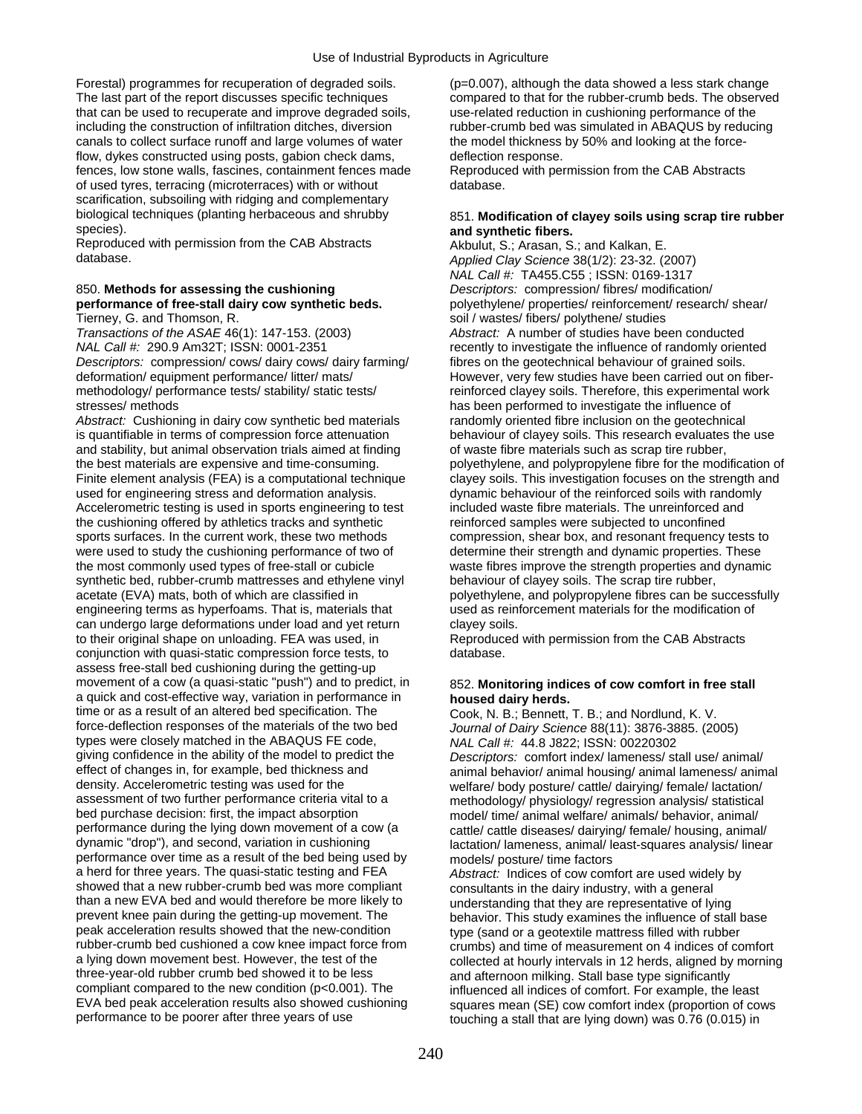Forestal) programmes for recuperation of degraded soils.  $(p=0.007)$ , although the data showed a less stark change The last part of the report discusses specific techniques compared to that for the rubber-crumb beds. The observed that can be used to recuperate and improve degraded soils, use-related reduction in cushioning performance of the including the construction of infiltration ditches, diversion rubber-crumb bed was simulated in ABAQUS by reducing canals to collect surface runoff and large volumes of water the model thickness by 50% and looking at the forceflow, dykes constructed using posts, gabion check dams, deflection response. fences, low stone walls, fascines, containment fences made Reproduced with permission from the CAB Abstracts of used tyres, terracing (microterraces) with or without database. scarification, subsoiling with ridging and complementary biological techniques (planting herbaceous and shrubby 851. **Modification of clayey soils using scrap tire rubber** 

Reproduced with permission from the CAB Abstracts database.

# 850. **Methods for assessing the cushioning** *Descriptors:* compression/ fibres/ modification/

*Transactions of the ASAE* 46(1): 147-153. (2003) *Abstract:* A number of studies have been conducted *Descriptors:* compression/ cows/ dairy cows/ dairy farming/ fibres on the geotechnical behaviour of grained soils. deformation/ equipment performance/ litter/ mats/ However, very few studies have been carried out on fibermethodology/ performance tests/ stability/ static tests/ reinforced clayey soils. Therefore, this experimental work<br>stresses/ methods<br>fresses/ methods<br>of the influence of

Abstract: Cushioning in dairy cow synthetic bed materials randomly oriented fibre inclusion on the geotechnical is quantifiable in terms of compression force attenuation behaviour of clayey soils. This research evaluates the use and stability, but animal observation trials aimed at finding of waste fibre materials such as scrap tire rubber, Finite element analysis (FEA) is a computational technique clayey soils. This investigation focuses on the strength and used for engineering stress and deformation analysis. dynamic behaviour of the reinforced soils with randomly Accelerometric testing is used in sports engineering to test included waste fibre materials. The unreinforced and the cushioning offered by athletics tracks and synthetic reinforced samples were subjected to unconfined sports surfaces. In the current work, these two methods compression, shear box, and resonant frequency tests to were used to study the cushioning performance of two of determine their strength and dynamic properties. These the most commonly used types of free-stall or cubicle waste fibres improve the strength properties and dynamic synthetic bed, rubber-crumb mattresses and ethylene vinyl behaviour of clayey soils. The scrap tire rubber, acetate (EVA) mats, both of which are classified in polyethylene, and polypropylene fibres can be successfully engineering terms as hyperfoams. That is, materials that used as reinforcement materials for the modification of can undergo large deformations under load and yet return clayey soils. to their original shape on unloading. FEA was used, in Reproduced with permission from the CAB Abstracts conjunction with quasi-static compression force tests, to database. assess free-stall bed cushioning during the getting-up movement of a cow (a quasi-static "push") and to predict, in 852. Monitoring indices of cow comfort in free stall a quick and cost-effective way, variation in performance in **housed dairy herds.**  time or as a result of an altered bed specification. The Cook, N. B.; Bennett, T. B.; and Nordlund, K. V. force-deflection responses of the materials of the two bed *Journal of Dairy Science* 88(11): 3876-3885. (2005) types were closely matched in the ABAQUS FE code, *NAL Call #: 44.8 J822*; ISSN: 00220302<br>giving confidence in the ability of the model to predict the *Descriptors: comfort index*/ lameness/ st giving confidence in the ability of the model to predict the *Descriptors:* comfort index/ lameness/ stall use/ animal/ effect of changes in, for example, bed thickness and animal behavior/ animal housing/ animal lameness/ animal<br>density. Accelerometric testing was used for the verture of the density of cattle/ dairving/ female/ lactation/ density. Accelerometric testing was used for the welfare/ body posture/ cattle/ dairying/ female/ lactation/<br>assessment of two further performance criteria vital to a methodology/ physiology/ regression analysis/ statistic assessment of two further performance criteria vital to a methodology/ physiology/ regression analysis/ statistical<br>bed purchase decision: first, the impact absorption methodology/ filme/ animal welfare/ animals/ behavior bed purchase decision: first, the impact absorption model/ time/ animal welfare/ animals/ behavior, animal/ performance during the lying down movement of a cow (a cattle/ cattle/ cattle diseases/ dairving/ female/ housing performance during the lying down movement of a cow (a cattle/ cattle/ cattle diseases/ dairying/ female/ housing, animal/<br>dynamic "drop"), and second, variation in cushioning entity and lactation/ lameness, animal/ leastperformance over time as a result of the bed being used by models/ posture/ time factors<br>a herd for three years. The quasi-static testing and FEA *Abstract:* Indices of cow com a herd for three years. The quasi-static testing and FEA *Abstract:* Indices of cow comfort are used widely by than a new EVA bed and would therefore be more likely to understanding that they are representative of lying<br>prevent knee pain during the getting-up movement. The behavior. This study examines the influence of stall prevent knee pain during the getting-up movement. The behavior. This study examines the influence of stall base<br>peak acceleration results showed that the new-condition the procession or a geotextile mattress filled with ru rubber-crumb bed cushioned a cow knee impact force from crumbs) and time of measurement on 4 indices of comfort<br>a lying down movement best. However, the test of the collected at hourly intervals in 12 herds, aligned by mor a lying down movement best. However, the test of the collected at hourly intervals in 12 herds, aligned by morning<br>three-year-old rubber crumb bed showed it to be less and afternoon milking. Stall hase type significantly three-year-old rubber crumb bed showed it to be less and afternoon milking. Stall base type significantly<br>compliant compared to the new condition (p<0.001). The influenced all indices of comfort. For example, the compliant compared to the new condition (p<0.001). The influenced all indices of comfort. For example, the least<br>EVA bed peak acceleration results also showed cushioning sources mean (SE) cow comfort index (proportion of c EVA bed peak acceleration results also showed cushioning squares mean (SE) cow comfort index (proportion of cows<br>
performance to be poorer after three years of use touching a stall that are lying down) was 0.76 (0.015) in

and synthetic fibers.<br>Akbulut, S.; Arasan, S.; and Kalkan, E. Applied Clay Science 38(1/2): 23-32. (2007) *NAL Call #:* TA455.C55 ; ISSN: 0169-1317 **performance of free-stall dairy cow synthetic beds.** polyethylene/ properties/ reinforcement/ research/ shear/ Tierney, G. and Thomson, R. Soil / wastes/ fibers/ polythene/ studies recently to investigate the influence of randomly oriented has been performed to investigate the influence of the best materials are expensive and time-consuming. polyethylene, and polypropylene fibre for the modification of

lactation/ lameness, animal/ least-squares analysis/ linear

consultants in the dairy industry, with a general type (sand or a geotextile mattress filled with rubber touching a stall that are lying down) was 0.76 (0.015) in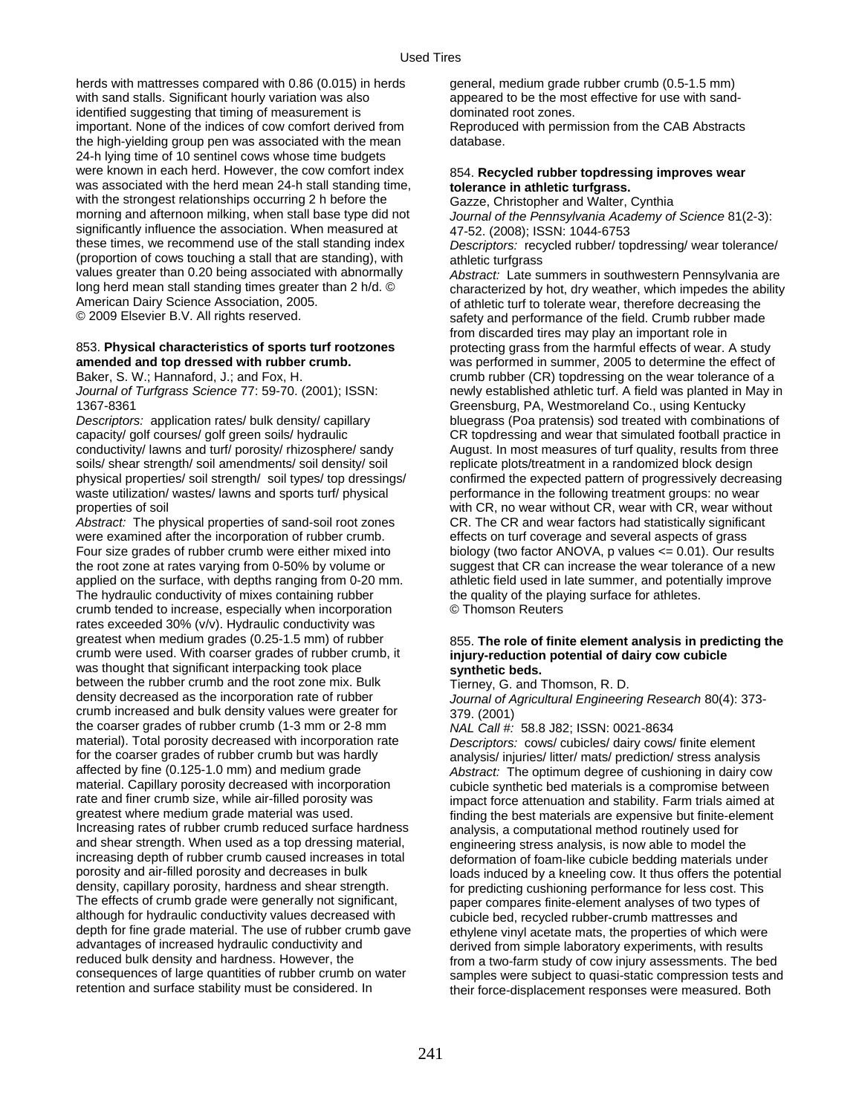herds with mattresses compared with 0.86 (0.015) in herds general, medium grade rubber crumb (0.5-1.5 mm) with sand stalls. Significant hourly variation was also appeared to be the most effective for use with sandidentified suggesting that timing of measurement is dominated root zones. important. None of the indices of cow comfort derived from Reproduced with permission from the CAB Abstracts the high-yielding group pen was associated with the mean database. 24-h lying time of 10 sentinel cows whose time budgets were known in each herd. However, the cow comfort index 854. **Recycled rubber topdressing improves wear** was associated with the herd mean 24-h stall standing time, tolerance in athletic turfgrass. was associated with the herd mean 24-h stall standing time, **tolerance in athletic turfgrass.**<br>
with the strongest relationships occurring 2 h before the Gazze, Christopher and Walter, Cynthia with the strongest relationships occurring 2 h before the morning and afternoon milking, when stall base type did not significantly influence the association. When measured at these times, we recommend use of the stall standing index (proportion of cows touching a stall that are standing), with  $\frac{1}{100}$  athletic turfgrass<br>values greater than 0.20 being associated with abnormally *Abstract*: Late st values greater than 0.20 being associated with abnormally *Abstract:* Late summers in southwestern Pennsylvania are American Dairy Science Association, 2005.  $\bullet$  of athletic turf to tolerate wear, therefore decreasing the Quadretic turf to tolerate wear, therefore decreasing the  $\circ$  2009 Elsevier B.V. All rights reserved.

1367-8361 Greensburg, PA, Westmoreland Co., using Kentucky

*Descriptors:* application rates/ bulk density/ capillary bluegrass (Poa pratensis) sod treated with combinations of capacity/ golf courses/ golf green soils/ hydraulic CR topdressing and wear that simulated football pract conductivity/ lawns and turf/ porosity/ rhizosphere/ sandy August. In most measures of turf quality, results from three soils/ shear strength/ soil amendments/ soil density/ soil replicate plots/treatment in a randomized block design waste utilization/ wastes/ lawns and sports turf/ physical performance in the following treatment groups: no wear properties of soil with CR, no wear without CR, wear with CR, wear without

*Abstract:* The physical properties of sand-soil root zones CR. The CR and wear factors had statistically significant were examined after the incorporation of rubber crumb.<br>
Four size grades of rubber crumb were either mixed into biology (two factor ANOVA, p values <= 0.01). Our re Four size grades of rubber crumb were either mixed into biology (two factor ANOVA, p values <= 0.01). Our results the root zone at rates varying from 0-50% by volume or suggest that CR can increase the wear tolerance of a applied on the surface, with depths ranging from 0-20 mm. The hydraulic conductivity of mixes containing rubber the quality of the playing surface for athletes. crumb tended to increase, especially when incorporation © Thomson Reuters rates exceeded 30% (v/v). Hydraulic conductivity was greatest when medium grades (0.25-1.5 mm) of rubber was thought that significant interpacking took place **synthetic beds.**  between the rubber crumb and the root zone mix. Bulk Tierney, G. and Thomson, R. D.<br>density decreased as the incorporation rate of rubber Journal of Agricultural Engineeri crumb increased and bulk density values were greater for 379. (2001)<br>the coarser grades of rubber crumb (1-3 mm or 2-8 mm NAL Call #: 58.8 J82; ISSN: 0021-8634 the coarser grades of rubber crumb (1-3 mm or 2-8 mm<br>material). Total porosity decreased with incorporation rate material). Total porosity decreased with incorporation rate *Descriptors:* cows/ cubicles/ dairy cows/ finite element<br>for the coarser grades of rubber crumb but was hardly analysis/ injuries/ litter/ mats/ prediction/ stre for the coarser grades of rubber crumb but was hardly analysis/ injuries/ litter/ mats/ prediction/ stress analysis<br>affected by fine (0.125-1.0 mm) and medium grade and abstract: The optimum degree of cushioning in dairy c affected by fine (0.125-1.0 mm) and medium grade *Abstract:* The optimum degree of cushioning in dairy cow material. Capillary porosity decreased with incorporation eubicle synthetic bed materials is a compromise between<br>The cubicle synthetic bed materials is a compromise between rate and find the artenuation and stability. Far rate and finer crumb size, while air-filled porosity was impact force attenuation and stability. Farm trials aimed at<br>inding the best materials are expensive but finite-element Increasing rates of rubber crumb reduced surface hardness analysis, a computational method routinely used for<br>and shear strength. When used as a top dressing material, engineering stress analysis, is now able to model th and shear strength. When used as a top dressing material, engineering stress analysis, is now able to model the<br>increasing depth of rubber crumb caused increases in total deformation of foam-like cubicle bedding materials increasing depth of rubber crumb caused increases in total deformation of foam-like cubicle bedding materials under<br>porosity and air-filled porosity and decreases in bulk<br>loads induced by a kneeling cowalt thus offers the porosity and air-filled porosity and decreases in bulk loads induced by a kneeling cow. It thus offers the potential density, capillary porosity, hardness and shear strength.<br>
for predicting cushioning performance for less density, capillary porosity, hardness and shear strength. for predicting cushioning performance for less cost. This<br>The effects of crumb grade were generally not significant, paper compares finite-element analyses of two t although for hydraulic conductivity values decreased with cubicle bed, recycled rubber-crumb mattresses and depth for fine grade material. The use of rubber crumb gave ethylene vinyl acetate mats, the properties of which were advantages of increased hydraulic conductivity and derived from simple laboratory experiments, with resu advantages of increased hydraulic conductivity and derived from simple laboratory experiments, with results<br>The head reduced bulk density and hardness. However, the same of the strom a two-farm study of cow injury assessme reduced bulk density and hardness. However, the from a two-farm study of cow injury assessments. The bed<br>consequences of large quantities of rubber crumb on water samples were subject to quasi-static compression tests and

Journal of the Pennsylvania Academy of Science 81(2-3):<br>47-52. (2008); ISSN: 1044-6753 Descriptors: recycled rubber/ topdressing/ wear tolerance/

long herd mean stall standing times greater than 2 h/d. © characterized by hot, dry weather, which impedes the ability<br>American Dairy Science Association, 2005. safety and performance of the field. Crumb rubber made from discarded tires may play an important role in 853. **Physical characteristics of sports turf rootzones** protecting grass from the harmful effects of wear. A study **amended and top dressed with rubber crumb.** was performed in summer, 2005 to determine the effect of Baker, S. W.; Hannaford, J.; and Fox, H. crumb rubber (CR) topdressing on the wear tolerance of a *Journal of Turfgrass Science* 77: 59-70. (2001); ISSN: newly established athletic turf. A field was planted in May in CR topdressing and wear that simulated football practice in physical properties/ soil strength/ soil types/ top dressings/ confirmed the expected pattern of progressively decreasing suggest that CR can increase the wear tolerance of a new athletic field used in late summer, and potentially improve

### greatest when medium grades (0.25-1.5 mm) of rubber 855. **The role of finite element analysis in predicting the**<br>
crumb were used. With coarser grades of rubber crumb, it **interialist in inter-reduction potential of dairy** injury-reduction potential of dairy cow cubicle

Journal of Agricultural Engineering Research 80(4): 373-

finding the best materials are expensive but finite-element paper compares finite-element analyses of two types of consequences of large quantities of rubber crumb on water samples were subject to quasi-static compression tests and<br>
retention and surface stability must be considered. In their force-displacement responses were measured. their force-displacement responses were measured. Both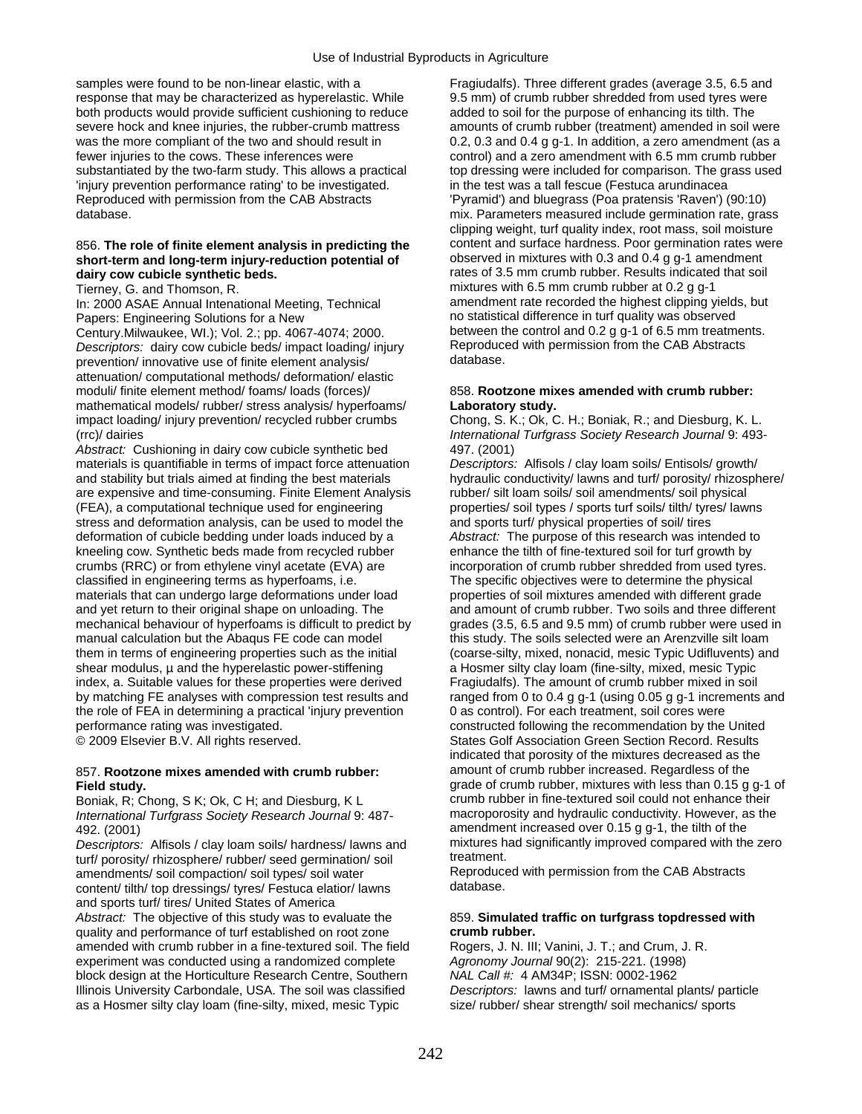samples were found to be non-linear elastic, with a Fragiudalfs). Three different grades (average 3.5, 6.5 and response that may be characterized as hyperelastic. While 9.5 mm) of crumb rubber shredded from used tyres were both products would provide sufficient cushioning to reduce added to soil for the purpose of enhancing its tilth. The severe hock and knee injuries, the rubber-crumb mattress amounts of crumb rubber (treatment) amended in soil were was the more compliant of the two and should result in 0.2, 0.3 and 0.4 g g-1. In addition, a zero amendment (as a fewer injuries to the cows. These inferences were control) and a zero amendment with 6.5 mm crumb rubber 'injury prevention performance rating' to be investigated. in the test was a tall fescue (Festuca arundinacea Reproduced with permission from the CAB Abstracts 'Pyramid') and bluegrass (Poa pratensis 'Raven') (90:10) database. mix. Parameters measured include germination rate, grass

## short-term and long-term injury-reduction potential of dairy cow cubicle synthetic beds.<br> **dairy cow cubicle synthetic beds.** The rates of 3.5 mm crumb rubber. Results indicated that soil

In: 2000 ASAE Annual Intenational Meeting, Technical

Century.Milwaukee, WI.); Vol. 2.; pp. 4067-4074; 2000. between the control and 0.2 g g-1 of 6.5 mm treatment CAB Abstracts.<br>Descriptors: dairy cow cubicle beds/ impact loading/ injury Reproduced with permission from the CA *Descriptors:* dairy cow cubicle beds/ impact loading/ injury Reproduced prevention/ innovative use of finite element analysis/ database. prevention/ innovative use of finite element analysis/ attenuation/ computational methods/ deformation/ elastic moduli/ finite element method/ foams/ loads (forces)/ 858. **Rootzone mixes amended with crumb rubber:**  mathematical models/ rubber/ stress analysis/ hyperfoams/ **Laboratory study.**  impact loading/ injury prevention/ recycled rubber crumbs Chong, S. K.; Ok, C. H.; Boniak, R.; and Diesburg, K. L. (rrc)/ dairies *International Turfgrass Society Research Journal* 9: 493-

*Abstract:* Cushioning in dairy cow cubicle synthetic bed 497. (2001) materials is quantifiable in terms of impact force attenuation *Descriptors:* Alfisols / clay loam soils/ Entisols/ growth/ and stability but trials aimed at finding the best materials hydraulic conductivity/ lawns and turf/ porosity/ rhizosphere/ are expensive and time-consuming. Finite Element Analysis rubber/ silt loam soils/ soil amendments/ soil physical (FEA), a computational technique used for engineering properties/ soil types / sports turf soils/ tilth/ tyres/ lawns stress and deformation analysis, can be used to model the and sports turf/ physical properties of soil/ tires deformation of cubicle bedding under loads induced by a *Abstract:* The purpose of this research was intended to kneeling cow. Synthetic beds made from recycled rubber enhance the tilth of fine-textured soil for turf growth by<br>crumbs (RRC) or from ethylene vinyl acetate (EVA) are incorporation of crumb rubber shredded from used tyre classified in engineering terms as hyperfoams, i.e. The specific objectives were to determine the physical materials that can undergo large deformations under load properties of soil mixtures amended with different grade<br>and vet return to their original shape on unloading. The and amount of crumb rubber. Two soils and three dif and yet return to their original shape on unloading. The mechanical behaviour of hyperfoams is difficult to predict by grades (3.5, 6.5 and 9.5 mm) of crumb rubber were used in manual calculation but the Abaqus FE code can model this study. The soils selected were an Arenzville silt loam them in terms of engineering properties such as the initial (coarse-silty, mixed, nonacid, mesic Typic Udifluvents) and shear modulus, µ and the hyperelastic power-stiffening a Hosmer silty clay loam (fine-silty, mixed, mesic Typic index, a. Suitable values for these properties were derived Fragiudalfs). The amount of crumb rubber mixed in soil<br>by matching FE analyses with compression test results and ranged from 0 to 0.4 g g-1 (using 0.05 g g-1 incr the role of FEA in determining a practical 'injury prevention 0 as control). For each treatment, soil cores were performance rating was investigated. constructed following the recommendation by the United

*International Turfgrass Society Research Journal* 9: 487-

*Descriptors:* Alfisols / clay loam soils/ hardness/ lawns and mixtures h<br>turf/ porosity/ rhizosphere/ rubber/ seed germination/ soil treatment. turf/ porosity/ rhizosphere/ rubber/ seed germination/ soil treatment.<br>amendments/ soil compaction/ soil types/ soil water Reproduced with permission from the CAB Abstracts amendments/ soil compaction/ soil types/ soil water Reproduced Reproduced content/ tilth/ top dressings/ tyres/ Festure elation/ lawns content/ tilth/ top dressings/ tyres/ Festuca elatior/ lawns and sports turf/ tires/ United States of America Abstract: The objective of this study was to evaluate the 859. **Simulated traffic on turfgrass topdressed with** quality and performance of turf established on root zone **crumb rubber.**  amended with crumb rubber in a fine-textured soil. The field Rogers, J. N. III; Vanini, J. T.; and Crum, J. R. experiment was conducted using a randomized complete *Agronomy Journal* 90(2): 215-221. (1998) block design at the Horticulture Research Centre, Southern *NAL Call #:* 4 AM34P; ISSN: 0002-1962 Illinois University Carbondale, USA. The soil was classified *Descriptors:* lawns and turf/ ornamental plants/ particle as a Hosmer silty clay loam (fine-silty, mixed, mesic Typic size/ rubber/ shear strength/ soil mechanics/ sports

substantiated by the two-farm study. This allows a practical top dressing were included for comparison. The grass used clipping weight, turf quality index, root mass, soil moisture 856. **The role of finite element analysis in predicting the** content and surface hardness. Poor germination rates were short-term and long-term injury-reduction potential of observed in mixtures with 0.3 and 0.4 g g-1 amen Tierney, G. and Thomson, R.<br>In: 2000 ASAF Annual Intenational Meeting Technical amendment rate recorded the highest clipping yields, but Papers: Engineering Solutions for a New  $\frac{3}{2}$  no statistical difference in turf quality was observed<br>Century Milwaukee, WL): Vol. 2:: pp. 4067-4074: 2000. between the control and 0.2 g g-1 of 6.5 mm treatments.

incorporation of crumb rubber shredded from used tyres. ranged from 0 to 0.4 g g-1 (using 0.05 g g-1 increments and © 2009 Elsevier B.V. All rights reserved. States Golf Association Green Section Record. Results indicated that porosity of the mixtures decreased as the 857. **Rootzone mixes amended with crumb rubber:** amount of crumb rubber increased. Regardless of the **Field study.** grade of crumb rubber, mixtures with less than 0.15 g g-1 of Boniak, R; Chong, S K; Ok, C H; and Diesburg, K L crumb rubber in fine-textured soil could not enhance their<br>
International Turforass Society Research Journal 9: 487- macroporosity and hydraulic conductivity. However, as t 492. (2001)<br>
Rescriptors: Alfisols / clav loam soils/ hardness/ lawns and mixtures had significantly improved compared with the zero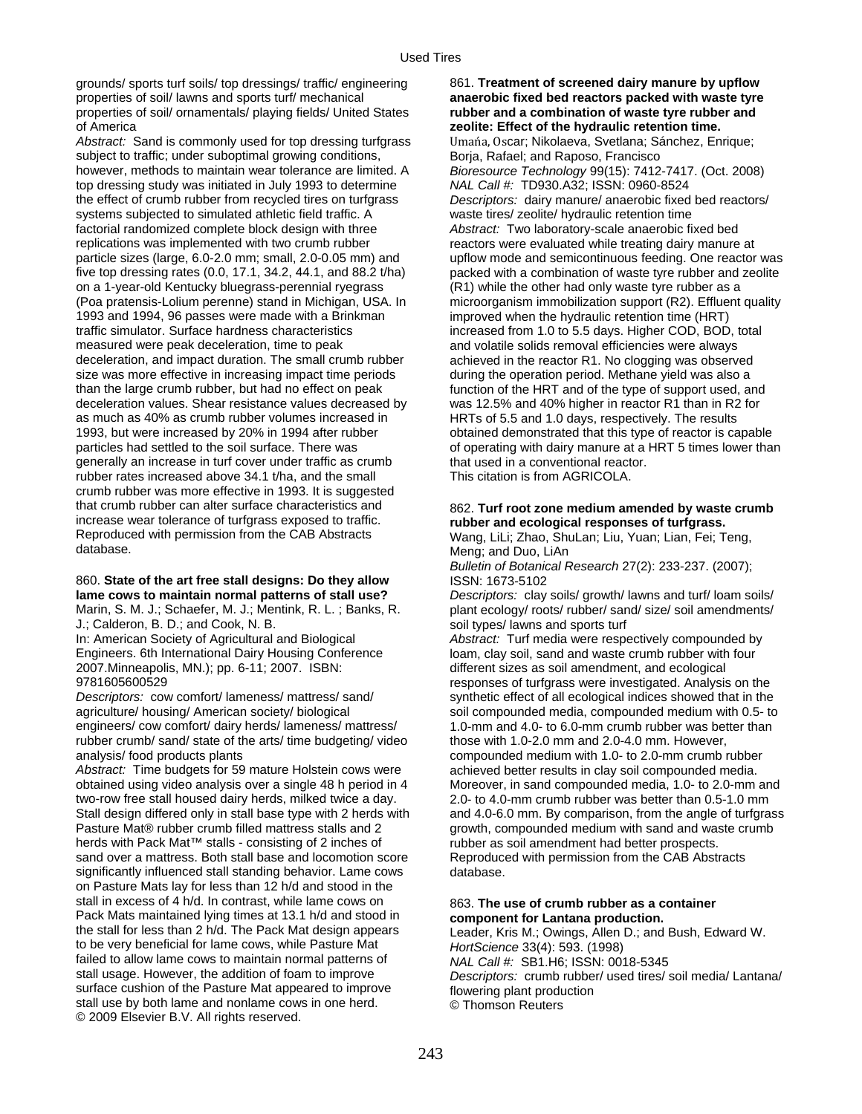grounds/ sports turf soils/ top dressings/ traffic/ engineering 861. **Treatment of screened dairy manure by upflow**  properties of soil/ lawns and sports turf/ mechanical **anaerobic fixed bed reactors packed with waste tyre**  properties of soil/ ornamentals/ playing fields/ United States of America **zeolite: Effect of the hydraulic retention time.** 

*Abstract:* Sand is commonly used for top dressing turfgrass Umańa, Oscar; Nikolaeva, Svetlana; Sánchez, Enrique; subject to traffic; under suboptimal growing conditions, Borja, Rafael; and Raposo, Francisco however, methods to maintain wear tolerance are limited. A *Bioresource Technology* 99(15): 7412-7417. (Oct. 2008)<br>top dressing study was initiated in July 1993 to determine *NAL Call #: TD930.A32; ISSN: 0960-8524* top dressing study was initiated in July 1993 to determine the effect of crumb rubber from recycled tires on turfgrass *Descriptors:* dairy manure/ anaerobic fixed bed reactors/ systems subjected to simulated athletic field traffic. A factorial randomized complete block design with three *Abstract:* Two laboratory-scale anaerobic fixed bed replications was implemented with two crumb rubber reactors were evaluated while treating dairy manure at on a 1-year-old Kentucky bluegrass-perennial ryegrass<br>(Poa pratensis-Lolium perenne) stand in Michigan, USA. In 1993 and 1994, 96 passes were made with a Brinkman traffic simulator. Surface hardness characteristics increased from 1.0 to 5.5 days. Higher COD, BOD, total measured were peak deceleration, time to peak and volatile solids removal efficiencies were always deceleration, and impact duration. The small crumb rubber achieved in the reactor R1. No clogging was observed size was more effective in increasing impact time periods during the operation period. Methane yield was also a than the large crumb rubber, but had no effect on peak function of the HRT and of the type of support used, and deceleration values. Shear resistance values decreased by was 12.5% and 40% higher in reactor R1 than in R2 for<br>as much as 40% as crumb rubber volumes increased in HRTs of 5.5 and 1.0 days, respectively. The results as much as 40% as crumb rubber volumes increased in FRTs of 5.5 and 1.0 days, respectively. The results<br>1993, but were increased by 20% in 1994 after rubber obtained demonstrated that this type of reactor is ca generally an increase in turf cover under traffic as crumb that used in a conventional reactor. rubber rates increased above 34.1 t/ha, and the small This citation is from AGRICOLA. crumb rubber was more effective in 1993. It is suggested that crumb rubber can alter surface characteristics and 862. **Turf root zone medium amended by waste crumb**<br>
increase wear tolerance of turfgrass exposed to traffic. increase wear tolerance of turfgrass exposed to traffic. **rubber and ecological responses of turfgrass.**  Reproduced with permission from the CAB Abstracts Wang, LiLi; Zhao, ShuLan; Liu, Yuan; Lian, Fei; Teng, database.<br>Meng: and Duo, LiAn

# 860. State of the art free stall designs: Do they allow<br>lame cows to maintain normal patterns of stall use?

J.; Calderon, B. D.; and Cook, N. B. Soil types/ lawns and sports turf

Engineers. 6th International Dairy Housing Conference loam, clay soil, sand and waste crumb rubber with four<br>2007.Minneapolis, MN.): pp. 6-11: 2007. ISBN: different sizes as soil amendment, and ecological

*Descriptors:* cow comfort/ lameness/ mattress/ sand/ synthetic effect of all ecological indices showed that in the agriculture/ housing/ American society/ biological soil compounded media, compounded medium with 0.5- to<br>engineers/ cow comfort/ dairy herds/ lameness/ mattress/ 1.0-mm and 4.0- to 6.0-mm crumb rubber was better than rubber crumb/ sand/ state of the arts/ time budgeting/ video those with 1.0-2.0 mm and 2.0-4.0 mm. However, representing the state of the arts/ time budgeting/ video those with 1.0-2.0 mm and 2.0-4.0 mm. However, represent

*Abstract:* Time budgets for 59 mature Holstein cows were achieved better results in clay soil compounded media. obtained using video analysis over a single 48 h period in 4 Moreover, in sand compounded media, 1.0- to 2.0-mm and two-row free stall housed dairy herds, milked twice a day. <br>2.0- to 4.0-mm crumb rubber was better than 0.5-1.0 mm<br>3.0- and 4.0-6.0 mm. By comparison, from the angle of turfqra Pasture Mat® rubber crumb filled mattress stalls and 2 growth, compounded medium with sand and waste crumb herds with Pack Mat™ stalls - consisting of 2 inches of rubber as soil amendment had better prospects. sand over a mattress. Both stall base and locomotion score Reproduced with permission from the CAB Abstracts significantly influenced stall standing behavior. Lame cows database. on Pasture Mats lay for less than 12 h/d and stood in the stall in excess of 4 h/d. In contrast, while lame cows on 863. The use of crumb rubber as a container Pack Mats maintained lying times at 13.1 h/d and stood in **component for Lantana production.**<br>
the stall for less than 2 h/d. The Pack Mat design appears leader Kris M : Owings Allen D : and the stall for less than 2 h/d. The Pack Mat design appears Leader, Kris M.; Owings, Allen D.; and Bush, Edward W. to be very beneficial for lame cows, while Pasture Mat *HortScience* 33(4): 593. (1998) failed to allow lame cows to maintain normal patterns of *NAL Call #:* SB1.H6; ISSN: 0018-5345<br>
stall usage. However, the addition of foam to improve *Descriptors: crumb rubber*/ used tires/ surface cushion of the Pasture Mat appeared to improve flowering plant production stall use by both lame and nonlame cows in one herd.  $\circ$  Thomson Reuters © 2009 Elsevier B.V. All rights reserved.

particle sizes (large, 6.0-2.0 mm; small, 2.0-0.05 mm) and upflow mode and semicontinuous feeding. One reactor was five top dressing rates (0.0, 17.1, 34.2, 44.1, and 88.2 t/ha) packed with a combination of waste tyre rubb packed with a combination of waste tyre rubber and zeolite (R1) while the other had only waste tyre rubber as a microorganism immobilization support (R2). Effluent quality improved when the hydraulic retention time (HRT) obtained demonstrated that this type of reactor is capable particles had settled to the soil surface. There was of operating with dairy manure at a HRT 5 times lower than

Meng; and Duo, LiAn

*Bulletin of Botanical Research* 27(2): 233-237. (2007);

Descriptors: clay soils/ growth/ lawns and turf/ loam soils/ Marin, S. M. J.; Schaefer, M. J.; Mentink, R. L.; Banks, R. plant ecology/ roots/ rubber/ sand/ size/ soil amendments/

In: American Society of Agricultural and Biological *Abstract:* Turf media were respectively compounded by different sizes as soil amendment, and ecological 9781605600529 responses of turfgrass were investigated. Analysis on the 1.0-mm and 4.0- to 6.0-mm crumb rubber was better than compounded medium with 1.0- to 2.0-mm crumb rubber and 4.0-6.0 mm. By comparison, from the angle of turfgrass

Descriptors: crumb rubber/ used tires/ soil media/ Lantana/